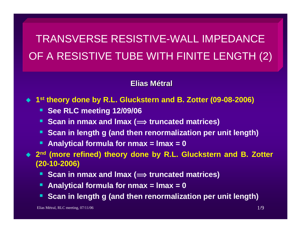# TRANSVERSE RESISTIVE-WALL IMPEDANCE OF A RESISTIVE TUBE WITH FINITE LENGTH (2)

#### **Elias Métral**

◆ 1<sup>st</sup> theory done by R.L. Gluckstern and B. Zotter (09-08-2006)

- **BEE RLC meeting 12/09/06**
- Scan in nmax and Imax ( $\implies$  truncated matrices)
- **Scan in length g (and then renormalization per unit length)**
- **Analytical formula for nmax = lmax = 0**

 **2nd (more refined) theory done by R.L. Gluckstern and B. Zotter (20-10-2006)**

- Scan in nmax and Imax ( $\implies$  truncated matrices)
- **Analytical formula for nmax = lmax = 0**
- Ŀ. **Scan in length g (and then renormalization per unit length)**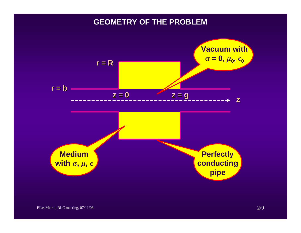#### **GEOMETRY OF THE PROBLEM**

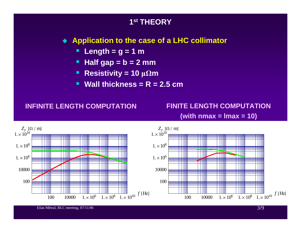## **1st THEORY Application to the case of a LHC collimator** п **Length = g = 1 m** ш **Half gap = b = 2 mm**  $\blacksquare$ **Resistivity** = 10  $\mu\Omega$ **m**  $\blacksquare$  **Wall thickness = R = 2.5 cmINFINITE LENGTH COMPUTATION FINITE LENGTH COMPUTATION (with nmax = lmax = 10)**

 $Z_{\rm y}$  [ $\Omega$  / m]  $Z_{\rm y}$  [ $\Omega$  / m]  $1 \times 10^{10}$  $1 \times 10^{10}$  $1 \times 10^8$  $1 \times 10^8$ == TIII M  $1 \times 10^6$ 20 I  $1 \times 10^6$ 1000010000Ш 100100 $1 \times 10^8$   $1 \times 10^{10}$  *f* [Hz]  $1 \times 10^8$   $1 \times 10^{10}$  *f* [Hz]  $10000 \t 1. \times 10^6$  $10000 \t 1 \times 10^6$ 100100

Elias Métral, RLC meeting,  $07/11/06$  3/9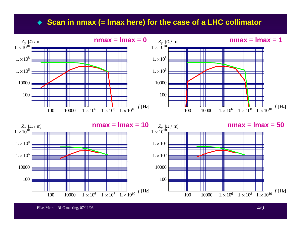#### ◆ Scan in nmax (= Imax here) for the case of a LHC collimator



Elias Métral, RLC meeting, 07/11/06 4/9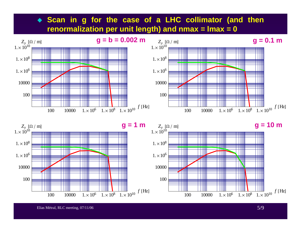# **Scan in g for the case of a LHC collimator (and then renormalization per unit length) and nmax = lmax = 0**







Elias Métral, RLC meeting,  $07/11/06$  5/9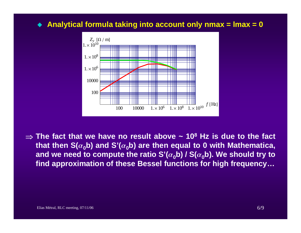## **Analytical formula taking into account only nmax = lmax = 0**



⇒ **The fact that we have no result above ~ 108 Hz is due to the fact that then S(** $\alpha$ **<sup>0</sup><sup>0</sup>) and S'(** $\alpha$ **<sup>0</sup><sup>0</sup>) are then equal to 0 with Mathematica,** and we need to compute the ratio S' $(\alpha_0 b)$  / S $(\alpha_0 b)$ . We should try to **find approximation of these Bessel functions for high frequency…**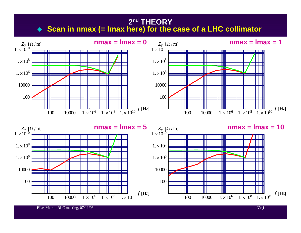# **2nd THEORY** ◆ Scan in nmax (= Imax here) for the case of a LHC collimator



Elias Métral, RLC meeting,  $07/11/06$  7/9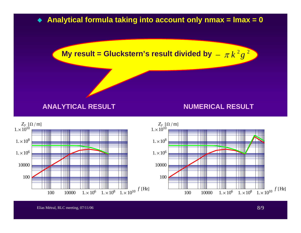